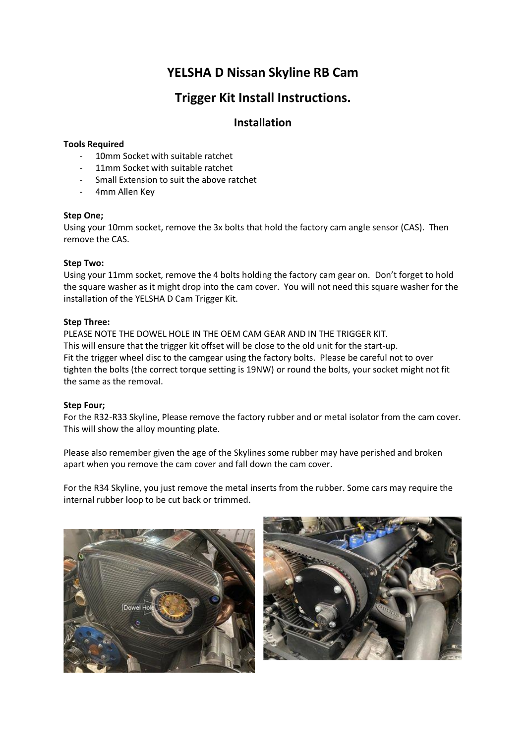# **YELSHA D Nissan Skyline RB Cam**

## **Trigger Kit Install Instructions.**

## **Installation**

#### **Tools Required**

- 10mm Socket with suitable ratchet
- 11mm Socket with suitable ratchet
- Small Extension to suit the above ratchet
- 4mm Allen Key

#### **Step One;**

Using your 10mm socket, remove the 3x bolts that hold the factory cam angle sensor (CAS). Then remove the CAS.

#### **Step Two:**

Using your 11mm socket, remove the 4 bolts holding the factory cam gear on. Don't forget to hold the square washer as it might drop into the cam cover. You will not need this square washer for the installation of the YELSHA D Cam Trigger Kit.

#### **Step Three:**

PLEASE NOTE THE DOWEL HOLE IN THE OEM CAM GEAR AND IN THE TRIGGER KIT. This will ensure that the trigger kit offset will be close to the old unit for the start-up. Fit the trigger wheel disc to the camgear using the factory bolts. Please be careful not to over tighten the bolts (the correct torque setting is 19NW) or round the bolts, your socket might not fit the same as the removal.

#### **Step Four;**

For the R32-R33 Skyline, Please remove the factory rubber and or metal isolator from the cam cover. This will show the alloy mounting plate.

Please also remember given the age of the Skylines some rubber may have perished and broken apart when you remove the cam cover and fall down the cam cover.

For the R34 Skyline, you just remove the metal inserts from the rubber. Some cars may require the internal rubber loop to be cut back or trimmed.

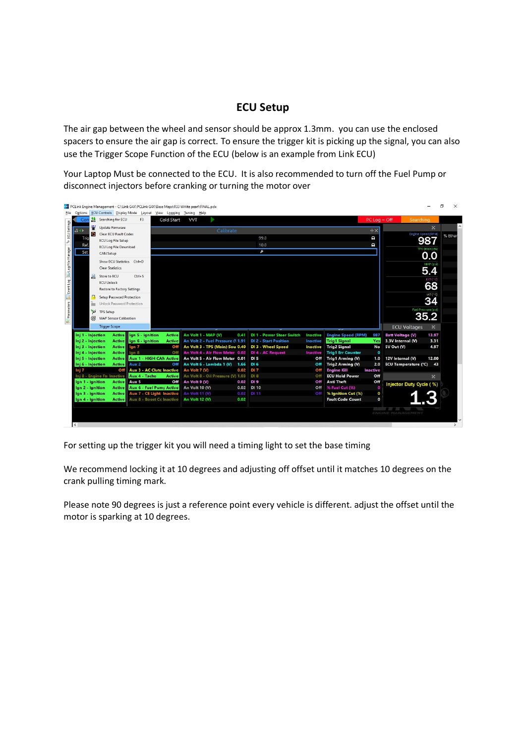### **ECU Setup**

The air gap between the wheel and sensor should be approx 1.3mm. you can use the enclosed spacers to ensure the air gap is correct. To ensure the trigger kit is picking up the signal, you can also use the Trigger Scope Function of the ECU (below is an example from Link ECU)

Your Laptop Must be connected to the ECU. It is also recommended to turn off the Fuel Pump or disconnect injectors before cranking or turning the motor over

| Cor                        |               | Searching for ECU             | E3                                        | Cold Start |               | <b>VVT</b>                                     |      |                                  |                 |                                               | $PC$ Log = Off  | Searching                   |              |         |
|----------------------------|---------------|-------------------------------|-------------------------------------------|------------|---------------|------------------------------------------------|------|----------------------------------|-----------------|-----------------------------------------------|-----------------|-----------------------------|--------------|---------|
| $A +$                      | 轝             | Update Firmware               |                                           |            |               | Calibrate                                      |      |                                  |                 |                                               | ⊕X              |                             | $\mathbf{x}$ |         |
| Trig                       | Ō.            | Clear ECU Fault Codes         |                                           |            |               |                                                |      | 99.0                             |                 |                                               | o               | Engine Speed (RPM)          |              | % Ethar |
| Ref                        |               | <b>ECU Log File Setup</b>     |                                           |            |               |                                                |      | 10.0                             |                 |                                               | e               |                             | 987          |         |
| Set                        |               | <b>ECU Log File Download</b>  |                                           |            |               | $\overline{\mathcal{F}}$                       |      |                                  |                 |                                               |                 | TPS (Main) (%)              |              |         |
|                            |               | CAN Setup                     |                                           |            |               |                                                |      |                                  |                 |                                               |                 | 0.0                         |              |         |
|                            |               | Show ECU Statistics Ctrl+D    |                                           |            |               |                                                |      |                                  |                 |                                               |                 |                             | MAP (psi)    |         |
|                            |               | <b>Clear Statistics</b>       |                                           |            |               |                                                |      |                                  |                 |                                               |                 |                             | 5.4          |         |
|                            | 息             | Store to ECU                  | $Ctrl + S$                                |            |               |                                                |      |                                  |                 |                                               |                 |                             |              |         |
|                            |               | <b>ECU Unlock</b>             |                                           |            |               |                                                |      |                                  |                 |                                               |                 |                             | ECT ( °C)    |         |
|                            |               | Restore to Factory Settings   |                                           |            |               |                                                |      |                                  |                 |                                               |                 |                             | 68           |         |
|                            | B             | Setup Password Protection     |                                           |            |               |                                                |      |                                  |                 |                                               |                 |                             | IAT (*C)     |         |
|                            | ł             | Unlock Password Protection    |                                           |            |               |                                                |      |                                  |                 |                                               |                 |                             | 34           |         |
|                            |               |                               |                                           |            |               |                                                |      |                                  |                 |                                               |                 | Fuel Pressure (psi          |              |         |
|                            | $\frac{1}{2}$ | <b>TPS Setup</b>              |                                           |            |               |                                                |      |                                  |                 |                                               |                 | 35.2                        |              |         |
|                            | 6             | <b>MAP Sensor Calibration</b> |                                           |            |               |                                                |      |                                  |                 |                                               |                 |                             |              |         |
|                            |               | <b>Trigger Scope</b>          |                                           |            |               |                                                |      |                                  |                 |                                               |                 | <b>ECU Voltages</b>         | $\propto$    |         |
| Inj 1 - Injection          |               | <b>Active</b>                 | lgn 5 - Ignition                          |            | <b>Active</b> | An Volt 1 - MAP (V)                            | 0.41 | <b>DI 1 - Power Steer Switch</b> | <b>Inactive</b> | <b>Engine Speed (RPM)</b>                     | 987             | <b>Batt Voltage (V)</b>     | 13.97        |         |
| Inj 2 - Injection          |               | Active                        | lgn 6 - Ignition                          |            | <b>Active</b> | An Volt 2 - Fuel Pressure (1191                |      | <b>DI 2 - Start Position</b>     | Inactive        | <b>Trig1 Signal</b>                           | <b>Yes</b>      | 3.3V Internal (V)           | 3.31         |         |
| Inj 3 - Injection          |               | <b>Active</b>                 | lgn 7                                     |            | Off           | An Volt 3 - TPS (Main) Sou 0.40                |      | DI 3 - Wheel Speed               | <b>Inactive</b> | <b>Trig2 Signal</b>                           | No              | 5V Out (V)                  | 4.97         |         |
| Inj 4 - Injection          |               | <b>Active</b>                 | lgn 8                                     |            | Off           | An Volt 4 - Air Flow Meter 0.02                |      | DI 4 - AC Request                | <b>Inactive</b> | <b>Trig1 Err Counter</b>                      | $\bullet$       |                             |              |         |
| Inj 5 - Injection          |               | Active                        | <b>Aux 1 - HIGH CAN Active</b>            |            |               | An Volt 5 - Air Flow Meter 0.01                |      | <b>DI 5</b><br>DI 6              | Off             | Trig1 Arming (V)                              | 1.0             | 12V Internal (V)            | 12.00        |         |
| Inj 6 - Injection<br>Inj 7 |               | <b>Active</b><br>Off          | Aux 2<br><b>Aux 3 - AC Clutc Inactive</b> |            | Off           | An Volt 6 - Lambda 1 (V) 1.66<br>An Volt 7 (V) | 0.02 | DI <sub>7</sub>                  | Off<br>Off      | <b>Trig2 Arming (V)</b><br><b>Engine Kill</b> | 2.0<br>Inactive | <b>ECU Temperature (°C)</b> | 43           |         |
|                            |               | Inj 8 - Engine Fa: Inactive   | Aux 4 - Tacho                             |            | <b>Active</b> | An Volt 8 - Oil Pressure (V) 1.03              |      | DI 8                             | Off             | <b>ECU Hold Power</b>                         | Off             |                             | X.           |         |
| Ign 1 - Ignition           |               | <b>Active</b>                 | Aux 5                                     |            |               | Off An Volt 9 (V)                              | 0.02 | <b>DI9</b>                       | Off             | <b>Anti Theft</b>                             | Off             |                             |              |         |
| lgn 2 - Ignition           |               | <b>Active</b>                 | <b>Aux 6 - Fuel Pump Active</b>           |            |               | An Volt 10 (V)                                 | 0.02 | <b>DI 10</b>                     | Off             | % Fuel Cut (%)                                |                 | Injector Duty Cycle (%)     |              |         |
| Ign 3 - Ignition           |               | <b>Active</b>                 | Aux 7 - CE Light Inactive                 |            |               | An Volt 11 (V)                                 | 0.02 | DI 11                            | Off             | % Ignition Cut (%)                            | $\mathbf{o}$    |                             |              |         |
| Ign 4 - Ignition           |               | <b>Active</b>                 | <b>Aux 8 - Boost Cc Inactive</b>          |            |               | An Volt 12 (V)                                 | 0.02 |                                  |                 | <b>Fault Code Count</b>                       | $\mathbf{0}$    |                             |              |         |
|                            |               |                               |                                           |            |               |                                                |      |                                  |                 |                                               |                 | <b>Contract Contract</b>    |              |         |

For setting up the trigger kit you will need a timing light to set the base timing

We recommend locking it at 10 degrees and adjusting off offset until it matches 10 degrees on the crank pulling timing mark.

Please note 90 degrees is just a reference point every vehicle is different. adjust the offset until the motor is sparking at 10 degrees.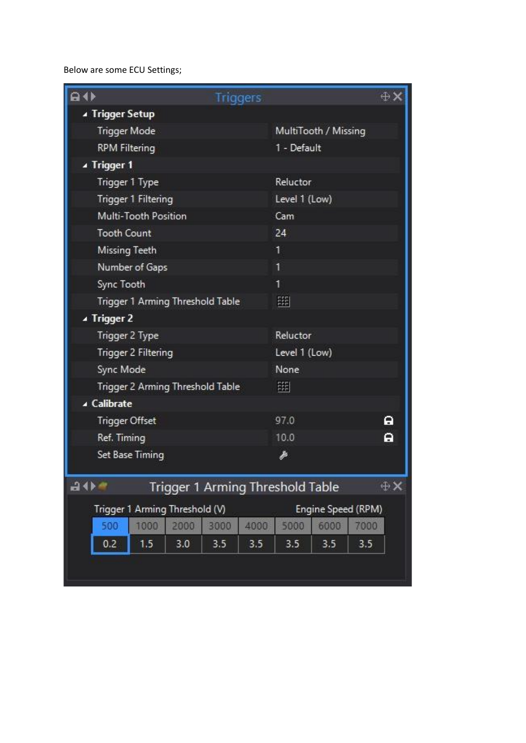Below are some ECU Settings;

| $a \rightarrow$                  |      |                    | <b>Triggers</b> |                                  |             |     | ⊕X         |  |  |  |  |
|----------------------------------|------|--------------------|-----------------|----------------------------------|-------------|-----|------------|--|--|--|--|
| ▲ Trigger Setup                  |      |                    |                 |                                  |             |     |            |  |  |  |  |
| Trigger Mode                     |      |                    |                 | MultiTooth / Missing             |             |     |            |  |  |  |  |
| <b>RPM Filtering</b>             |      |                    |                 | 1 - Default                      |             |     |            |  |  |  |  |
| ▲ Trigger 1                      |      |                    |                 |                                  |             |     |            |  |  |  |  |
| Trigger 1 Type                   |      |                    |                 | Reluctor                         |             |     |            |  |  |  |  |
| Trigger 1 Filtering              |      |                    | Level 1 (Low)   |                                  |             |     |            |  |  |  |  |
| Multi-Tooth Position             |      | Cam                |                 |                                  |             |     |            |  |  |  |  |
| <b>Tooth Count</b>               |      | 24                 |                 |                                  |             |     |            |  |  |  |  |
| Missing Teeth                    |      |                    | 1               |                                  |             |     |            |  |  |  |  |
| Number of Gaps                   |      | 1                  |                 |                                  |             |     |            |  |  |  |  |
| Sync Tooth                       |      | 1                  |                 |                                  |             |     |            |  |  |  |  |
| Trigger 1 Arming Threshold Table |      | 躙                  |                 |                                  |             |     |            |  |  |  |  |
| ▲ Trigger 2                      |      |                    |                 |                                  |             |     |            |  |  |  |  |
| Trigger 2 Type                   |      | Reluctor           |                 |                                  |             |     |            |  |  |  |  |
| Trigger 2 Filtering              |      | Level 1 (Low)      |                 |                                  |             |     |            |  |  |  |  |
| Sync Mode                        |      | None               |                 |                                  |             |     |            |  |  |  |  |
| Trigger 2 Arming Threshold Table |      | 豳                  |                 |                                  |             |     |            |  |  |  |  |
| ▲ Calibrate                      |      |                    |                 |                                  |             |     |            |  |  |  |  |
| <b>Trigger Offset</b>            |      |                    | 97.0            |                                  | A           |     |            |  |  |  |  |
| Ref. Timing                      |      |                    | 10.0            |                                  | A           |     |            |  |  |  |  |
| Set Base Timing                  |      |                    | Þ               |                                  |             |     |            |  |  |  |  |
| 40 <sup>a</sup>                  |      |                    |                 | Trigger 1 Arming Threshold Table |             |     | $\oplus$ X |  |  |  |  |
| Trigger 1 Arming Threshold (V)   |      | Engine Speed (RPM) |                 |                                  |             |     |            |  |  |  |  |
| 1000<br>500                      | 2000 | 5000               | 7000            |                                  |             |     |            |  |  |  |  |
| 0.2<br>1.5                       | 3.0  | 3000<br>3.5        | 4000<br>3.5     | 3.5                              | 6000<br>3.5 | 3.5 |            |  |  |  |  |
|                                  |      |                    |                 |                                  |             |     |            |  |  |  |  |
|                                  |      |                    |                 |                                  |             |     |            |  |  |  |  |
|                                  |      |                    |                 |                                  |             |     |            |  |  |  |  |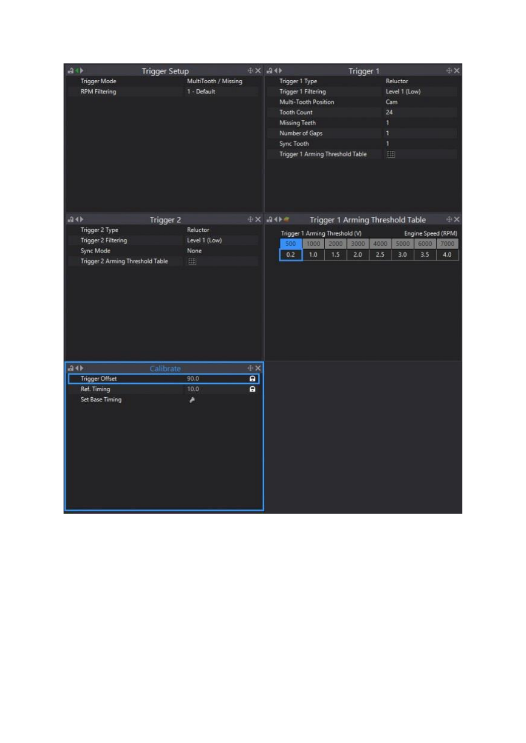| $a + b$ |                                  | <b>Trigger Setup</b> |                      |                | $+ \times - +$                   |      |      | Trigger 1                        |      |               |                    | ÷χ         |
|---------|----------------------------------|----------------------|----------------------|----------------|----------------------------------|------|------|----------------------------------|------|---------------|--------------------|------------|
|         | <b>Trigger Mode</b>              |                      | MultiTooth / Missing |                | Trigger 1 Type                   |      |      |                                  |      | Reluctor      |                    |            |
|         | <b>RPM Filtering</b>             |                      | 1 - Default          |                | Trigger 1 Filtering              |      |      |                                  |      | Level 1 (Low) |                    |            |
|         |                                  |                      |                      |                | Multi-Tooth Position             |      |      |                                  |      | Cam           |                    |            |
|         |                                  |                      |                      |                | Tooth Count                      |      |      |                                  | 24   |               |                    |            |
|         |                                  |                      |                      |                | Missing Teeth                    |      |      |                                  | 1    |               |                    |            |
|         |                                  |                      |                      | Number of Gaps |                                  |      |      | ŧ                                |      |               |                    |            |
|         |                                  |                      |                      |                | Sync Tooth                       |      |      |                                  | Ŧ    |               |                    |            |
|         |                                  |                      |                      |                | Trigger 1 Arming Threshold Table |      |      |                                  | 鹽    |               |                    |            |
|         |                                  |                      |                      |                |                                  |      |      |                                  |      |               |                    |            |
| $-34$   |                                  | Trigger 2            |                      |                | $+16$ $+6$                       |      |      | Trigger 1 Arming Threshold Table |      |               |                    | $+ \times$ |
|         | Trigger 2 Type                   |                      | Reluctor             |                | Trigger 1 Arming Threshold (V)   |      |      |                                  |      |               | Engine Speed (RPM) |            |
|         | Trigger 2 Filtering              |                      | Level 1 (Low)        |                | 500                              | 1000 | 2000 | 3000                             | 4000 | 5000          | 6000               | 7000       |
|         | Sync Mode                        |                      | None                 |                | 0.2                              | 1.0  | 1.5. | 2.0                              | 2.5  | 3.0           | 3.5                | 4.0        |
|         | Trigger 2 Arming Threshold Table |                      | 開                    |                |                                  |      |      |                                  |      |               |                    |            |
|         |                                  |                      |                      |                |                                  |      |      |                                  |      |               |                    |            |
| 20      |                                  | Calibrate            |                      | $+ \times$     |                                  |      |      |                                  |      |               |                    |            |
|         | <b>Trigger Offset</b>            |                      | 90.0                 | $\overline{a}$ |                                  |      |      |                                  |      |               |                    |            |
|         | Ref. Timing                      |                      | 10.0                 | $\mathbf{a}$   |                                  |      |      |                                  |      |               |                    |            |
|         | Set Base Timing                  |                      | ۸                    |                |                                  |      |      |                                  |      |               |                    |            |
|         |                                  |                      |                      |                |                                  |      |      |                                  |      |               |                    |            |